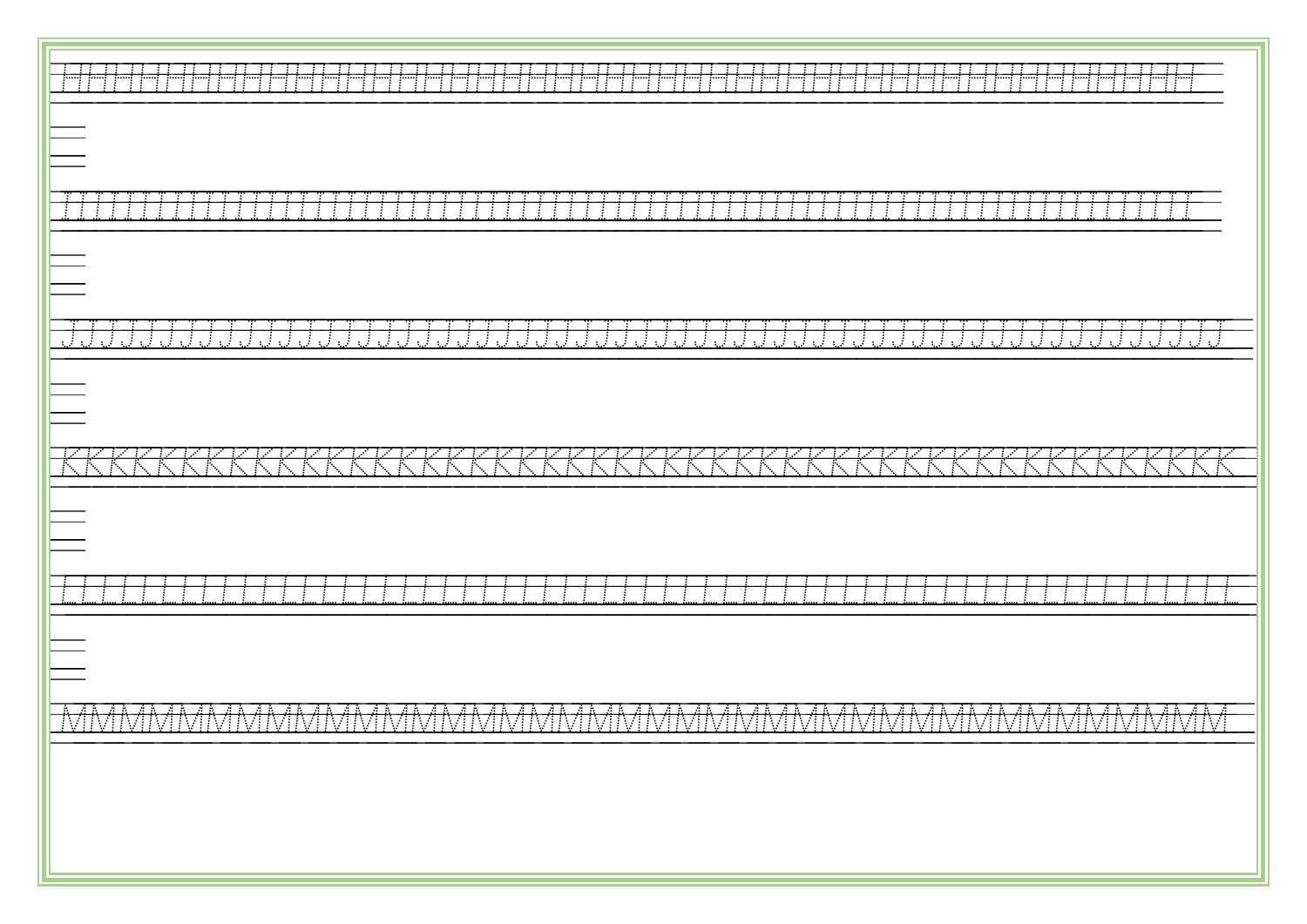| - 11<br>-11<br>"打"的 "打"的                                                                                                                                                                              |
|-------------------------------------------------------------------------------------------------------------------------------------------------------------------------------------------------------|
|                                                                                                                                                                                                       |
| -T - T<br>-71                                                                                                                                                                                         |
|                                                                                                                                                                                                       |
| <u>JJJJJJJJJJJJJJJJJJJJ</u><br><u>JJJJJ</u><br>JJJJJJJJJJ<br>JJJJJJ<br>a Balti<br>n P<br>$\mathcal{L} \times \mathcal{L}$<br>n F<br>JJJJ<br>$\mathcal{L}^{\mathcal{A}}$<br>$\sim$ 1<br>$\sim 1$<br>πł |
|                                                                                                                                                                                                       |
|                                                                                                                                                                                                       |
|                                                                                                                                                                                                       |
|                                                                                                                                                                                                       |
|                                                                                                                                                                                                       |
| <b>AB</b><br>-883838<br>la a la a a la a a la a la a la a la l<br>n Alba<br>aa aa aa<br>IVHVHVHVHVHVHVHVHVHVHVHVHVHVHVHVHV<br>IVHVHVHVHVHVH                                                           |
|                                                                                                                                                                                                       |
|                                                                                                                                                                                                       |